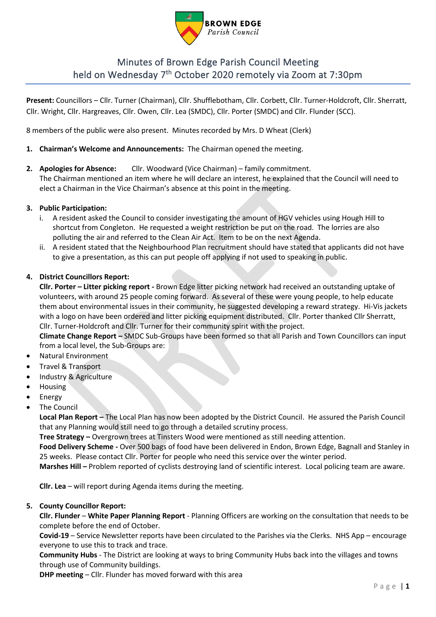

# Minutes of Brown Edge Parish Council Meeting held on Wednesday 7<sup>th</sup> October 2020 remotely via Zoom at 7:30pm

**Present:** Councillors – Cllr. Turner (Chairman), Cllr. Shufflebotham, Cllr. Corbett, Cllr. Turner-Holdcroft, Cllr. Sherratt, Cllr. Wright, Cllr. Hargreaves, Cllr. Owen, Cllr. Lea (SMDC), Cllr. Porter (SMDC) and Cllr. Flunder (SCC).

8 members of the public were also present. Minutes recorded by Mrs. D Wheat (Clerk)

- **1. Chairman's Welcome and Announcements:** The Chairman opened the meeting.
- **2. Apologies for Absence:** Cllr. Woodward (Vice Chairman) family commitment.

The Chairman mentioned an item where he will declare an interest, he explained that the Council will need to elect a Chairman in the Vice Chairman's absence at this point in the meeting.

## **3. Public Participation:**

- i. A resident asked the Council to consider investigating the amount of HGV vehicles using Hough Hill to shortcut from Congleton. He requested a weight restriction be put on the road. The lorries are also polluting the air and referred to the Clean Air Act. Item to be on the next Agenda.
- ii. A resident stated that the Neighbourhood Plan recruitment should have stated that applicants did not have to give a presentation, as this can put people off applying if not used to speaking in public.

## **4. District Councillors Report:**

**Cllr. Porter – Litter picking report -** Brown Edge litter picking network had received an outstanding uptake of volunteers, with around 25 people coming forward. As several of these were young people, to help educate them about environmental issues in their community, he suggested developing a reward strategy. Hi-Vis jackets with a logo on have been ordered and litter picking equipment distributed. Cllr. Porter thanked Cllr Sherratt, Cllr. Turner-Holdcroft and Cllr. Turner for their community spirit with the project.

**Climate Change Report –** SMDC Sub-Groups have been formed so that all Parish and Town Councillors can input from a local level, the Sub-Groups are:

- Natural Environment
- Travel & Transport
- Industry & Agriculture
- Housing
- **Energy**
- **The Council**

**Local Plan Report –** The Local Plan has now been adopted by the District Council. He assured the Parish Council that any Planning would still need to go through a detailed scrutiny process.

**Tree Strategy –** Overgrown trees at Tinsters Wood were mentioned as still needing attention.

**Food Delivery Scheme -** Over 500 bags of food have been delivered in Endon, Brown Edge, Bagnall and Stanley in 25 weeks. Please contact Cllr. Porter for people who need this service over the winter period.

**Marshes Hill –** Problem reported of cyclists destroying land of scientific interest. Local policing team are aware.

**Cllr. Lea** – will report during Agenda items during the meeting.

## **5. County Councillor Report:**

**Cllr. Flunder** – **White Paper Planning Report** - Planning Officers are working on the consultation that needs to be complete before the end of October.

**Covid-19** – Service Newsletter reports have been circulated to the Parishes via the Clerks. NHS App – encourage everyone to use this to track and trace.

**Community Hubs** - The District are looking at ways to bring Community Hubs back into the villages and towns through use of Community buildings.

**DHP meeting – Cllr. Flunder has moved forward with this area**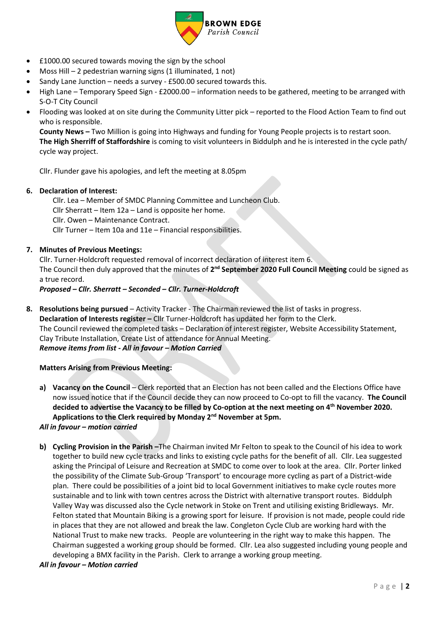

- £1000.00 secured towards moving the sign by the school
- Moss Hill 2 pedestrian warning signs  $(1$  illuminated, 1 not)
- Sandy Lane Junction needs a survey £500.00 secured towards this.
- High Lane Temporary Speed Sign £2000.00 information needs to be gathered, meeting to be arranged with S-O-T City Council
- Flooding was looked at on site during the Community Litter pick reported to the Flood Action Team to find out who is responsible.

**County News –** Two Million is going into Highways and funding for Young People projects is to restart soon. **The High Sherriff of Staffordshire** is coming to visit volunteers in Biddulph and he is interested in the cycle path/ cycle way project.

Cllr. Flunder gave his apologies, and left the meeting at 8.05pm

## **6. Declaration of Interest:**

Cllr. Lea – Member of SMDC Planning Committee and Luncheon Club.

Cllr Sherratt – Item 12a – Land is opposite her home.

Cllr. Owen – Maintenance Contract.

Cllr Turner – Item 10a and 11e – Financial responsibilities.

## **7. Minutes of Previous Meetings:**

Cllr. Turner-Holdcroft requested removal of incorrect declaration of interest item 6. The Council then duly approved that the minutes of 2<sup>nd</sup> September 2020 Full Council Meeting could be signed as a true record.

## *Proposed – Cllr. Sherratt – Seconded – Cllr. Turner-Holdcroft*

**8. Resolutions being pursued** – Activity Tracker - The Chairman reviewed the list of tasks in progress. **Declaration of Interests register –** Cllr Turner-Holdcroft has updated her form to the Clerk. The Council reviewed the completed tasks – Declaration of interest register, Website Accessibility Statement, Clay Tribute Installation, Create List of attendance for Annual Meeting. *Remove items from list - All in favour – Motion Carried*

#### **Matters Arising from Previous Meeting:**

**a) Vacancy on the Council** – Clerk reported that an Election has not been called and the Elections Office have now issued notice that if the Council decide they can now proceed to Co-opt to fill the vacancy. **The Council decided to advertise the Vacancy to be filled by Co-option at the next meeting on 4th November 2020. Applications to the Clerk required by Monday 2nd November at 5pm.**

#### *All in favour – motion carried*

- **b) Cycling Provision in the Parish –**The Chairman invited Mr Felton to speak to the Council of his idea to work together to build new cycle tracks and links to existing cycle paths for the benefit of all. Cllr. Lea suggested asking the Principal of Leisure and Recreation at SMDC to come over to look at the area. Cllr. Porter linked the possibility of the Climate Sub-Group 'Transport' to encourage more cycling as part of a District-wide plan. There could be possibilities of a joint bid to local Government initiatives to make cycle routes more sustainable and to link with town centres across the District with alternative transport routes. Biddulph Valley Way was discussed also the Cycle network in Stoke on Trent and utilising existing Bridleways. Mr. Felton stated that Mountain Biking is a growing sport for leisure. If provision is not made, people could ride in places that they are not allowed and break the law. Congleton Cycle Club are working hard with the National Trust to make new tracks. People are volunteering in the right way to make this happen. The Chairman suggested a working group should be formed. Cllr. Lea also suggested including young people and developing a BMX facility in the Parish. Clerk to arrange a working group meeting.
- *All in favour – Motion carried*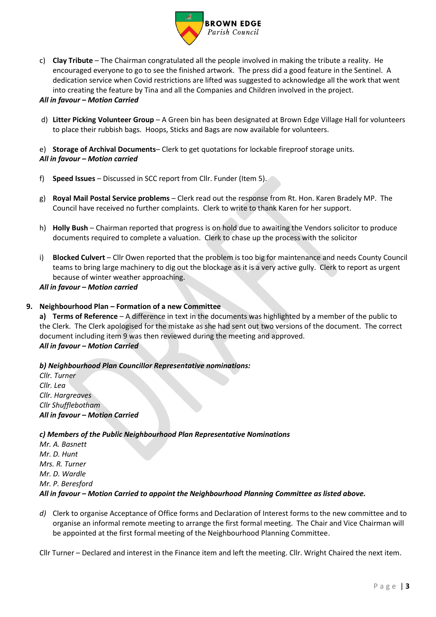

c) **Clay Tribute** – The Chairman congratulated all the people involved in making the tribute a reality. He encouraged everyone to go to see the finished artwork. The press did a good feature in the Sentinel. A dedication service when Covid restrictions are lifted was suggested to acknowledge all the work that went into creating the feature by Tina and all the Companies and Children involved in the project.

#### *All in favour – Motion Carried*

d) **Litter Picking Volunteer Group** – A Green bin has been designated at Brown Edge Village Hall for volunteers to place their rubbish bags. Hoops, Sticks and Bags are now available for volunteers.

e) **Storage of Archival Documents**– Clerk to get quotations for lockable fireproof storage units. *All in favour – Motion carried*

- f) **Speed Issues** Discussed in SCC report from Cllr. Funder (Item 5).
- g) **Royal Mail Postal Service problems**  Clerk read out the response from Rt. Hon. Karen Bradely MP. The Council have received no further complaints. Clerk to write to thank Karen for her support.
- h) **Holly Bush** Chairman reported that progress is on hold due to awaiting the Vendors solicitor to produce documents required to complete a valuation. Clerk to chase up the process with the solicitor
- i) **Blocked Culvert** Cllr Owen reported that the problem is too big for maintenance and needs County Council teams to bring large machinery to dig out the blockage as it is a very active gully. Clerk to report as urgent because of winter weather approaching.

*All in favour – Motion carried*

## **9. Neighbourhood Plan – Formation of a new Committee**

**a) Terms of Reference** – A difference in text in the documents was highlighted by a member of the public to the Clerk. The Clerk apologised for the mistake as she had sent out two versions of the document. The correct document including item 9 was then reviewed during the meeting and approved. *All in favour – Motion Carried*

#### *b) Neighbourhood Plan Councillor Representative nominations:*

*Cllr. Turner Cllr. Lea Cllr. Hargreaves Cllr Shufflebotham All in favour – Motion Carried*

#### *c) Members of the Public Neighbourhood Plan Representative Nominations*

*Mr. A. Basnett Mr. D. Hunt Mrs. R. Turner Mr. D. Wardle Mr. P. Beresford All in favour – Motion Carried to appoint the Neighbourhood Planning Committee as listed above.*

*d)* Clerk to organise Acceptance of Office forms and Declaration of Interest forms to the new committee and to organise an informal remote meeting to arrange the first formal meeting. The Chair and Vice Chairman will be appointed at the first formal meeting of the Neighbourhood Planning Committee.

Cllr Turner – Declared and interest in the Finance item and left the meeting. Cllr. Wright Chaired the next item.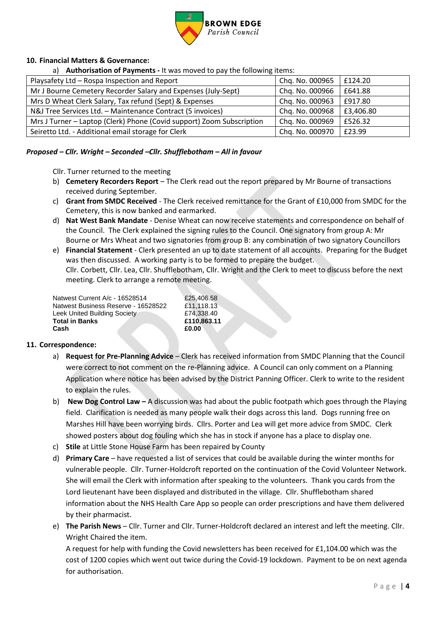

# **10. Financial Matters & Governance:**

a) **Authorisation of Payments -** It was moved to pay the following items:

| Playsafety Ltd - Rospa Inspection and Report                          | Chq. No. 000965 | £124.20   |
|-----------------------------------------------------------------------|-----------------|-----------|
| Mr J Bourne Cemetery Recorder Salary and Expenses (July-Sept)         | Chq. No. 000966 | £641.88   |
| Mrs D Wheat Clerk Salary, Tax refund (Sept) & Expenses                | Chq. No. 000963 | £917.80   |
| N&J Tree Services Ltd. - Maintenance Contract (5 invoices)            | Chq. No. 000968 | £3,406.80 |
| Mrs J Turner - Laptop (Clerk) Phone (Covid support) Zoom Subscription | Chq. No. 000969 | £526.32   |
| Seiretto Ltd. - Additional email storage for Clerk                    | Chq. No. 000970 | £23.99    |

#### *Proposed – Cllr. Wright – Seconded –Cllr. Shufflebotham – All in favour*

Cllr. Turner returned to the meeting

- b) **Cemetery Recorders Report** The Clerk read out the report prepared by Mr Bourne of transactions received during September.
- c) **Grant from SMDC Received** The Clerk received remittance for the Grant of £10,000 from SMDC for the Cemetery, this is now banked and earmarked.
- d) **Nat West Bank Mandate** Denise Wheat can now receive statements and correspondence on behalf of the Council. The Clerk explained the signing rules to the Council. One signatory from group A: Mr Bourne or Mrs Wheat and two signatories from group B: any combination of two signatory Councillors
- e) **Financial Statement** Clerk presented an up to date statement of all accounts. Preparing for the Budget was then discussed. A working party is to be formed to prepare the budget. Cllr. Corbett, Cllr. Lea, Cllr. Shufflebotham, Cllr. Wright and the Clerk to meet to discuss before the next meeting. Clerk to arrange a remote meeting.

| Natwest Current A/c - 16528514      | £25.406.58  |
|-------------------------------------|-------------|
|                                     |             |
| Natwest Business Reserve - 16528522 | £11.118.13  |
| <b>Leek United Building Society</b> | £74.338.40  |
| <b>Total in Banks</b>               | £110.863.11 |
| Cash                                | £0.00       |

#### **11. Correspondence:**

- a) **Request for Pre-Planning Advice**  Clerk has received information from SMDC Planning that the Council were correct to not comment on the re-Planning advice. A Council can only comment on a Planning Application where notice has been advised by the District Panning Officer. Clerk to write to the resident to explain the rules.
- b) **New Dog Control Law –** A discussion was had about the public footpath which goes through the Playing field. Clarification is needed as many people walk their dogs across this land. Dogs running free on Marshes Hill have been worrying birds. Cllrs. Porter and Lea will get more advice from SMDC. Clerk showed posters about dog fouling which she has in stock if anyone has a place to display one.
- c) **Stile** at Little Stone House Farm has been repaired by County
- d) **Primary Care**  have requested a list of services that could be available during the winter months for vulnerable people. Cllr. Turner-Holdcroft reported on the continuation of the Covid Volunteer Network. She will email the Clerk with information after speaking to the volunteers. Thank you cards from the Lord lieutenant have been displayed and distributed in the village. Cllr. Shufflebotham shared information about the NHS Health Care App so people can order prescriptions and have them delivered by their pharmacist.
- e) **The Parish News** Cllr. Turner and Cllr. Turner-Holdcroft declared an interest and left the meeting. Cllr. Wright Chaired the item.

A request for help with funding the Covid newsletters has been received for £1,104.00 which was the cost of 1200 copies which went out twice during the Covid-19 lockdown. Payment to be on next agenda for authorisation.